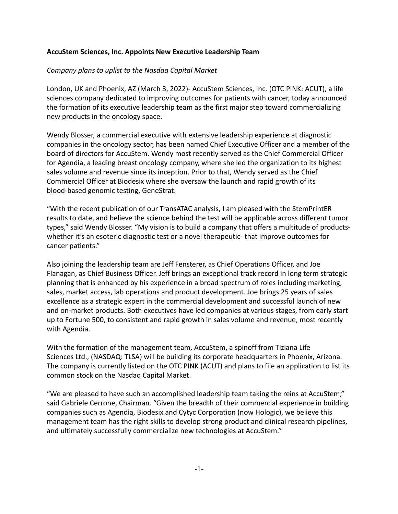### **AccuStem Sciences, Inc. Appoints New Executive Leadership Team**

# *Company plans to uplist to the Nasdaq Capital Market*

London, UK and Phoenix, AZ (March 3, 2022)- AccuStem Sciences, Inc. (OTC PINK: ACUT), a life sciences company dedicated to improving outcomes for patients with cancer, today announced the formation of its executive leadership team as the first major step toward commercializing new products in the oncology space.

Wendy Blosser, a commercial executive with extensive leadership experience at diagnostic companies in the oncology sector, has been named Chief Executive Officer and a member of the board of directors for AccuStem. Wendy most recently served as the Chief Commercial Officer for Agendia, a leading breast oncology company, where she led the organization to its highest sales volume and revenue since its inception. Prior to that, Wendy served as the Chief Commercial Officer at Biodesix where she oversaw the launch and rapid growth of its blood-based genomic testing, GeneStrat.

"With the recent publication of our TransATAC analysis, I am pleased with the StemPrintER results to date, and believe the science behind the test will be applicable across different tumor types," said Wendy Blosser. "My vision is to build a company that offers a multitude of productswhether it's an esoteric diagnostic test or a novel therapeutic- that improve outcomes for cancer patients."

Also joining the leadership team are Jeff Fensterer, as Chief Operations Officer, and Joe Flanagan, as Chief Business Officer. Jeff brings an exceptional track record in long term strategic planning that is enhanced by his experience in a broad spectrum of roles including marketing, sales, market access, lab operations and product development. Joe brings 25 years of sales excellence as a strategic expert in the commercial development and successful launch of new and on-market products. Both executives have led companies at various stages, from early start up to Fortune 500, to consistent and rapid growth in sales volume and revenue, most recently with Agendia.

With the formation of the management team, AccuStem, a spinoff from Tiziana Life Sciences Ltd., (NASDAQ: TLSA) will be building its corporate headquarters in Phoenix, Arizona. The company is currently listed on the OTC PINK (ACUT) and plans to file an application to list its common stock on the Nasdaq Capital Market.

"We are pleased to have such an accomplished leadership team taking the reins at AccuStem," said Gabriele Cerrone, Chairman. "Given the breadth of their commercial experience in building companies such as Agendia, Biodesix and Cytyc Corporation (now Hologic), we believe this management team has the right skills to develop strong product and clinical research pipelines, and ultimately successfully commercialize new technologies at AccuStem."